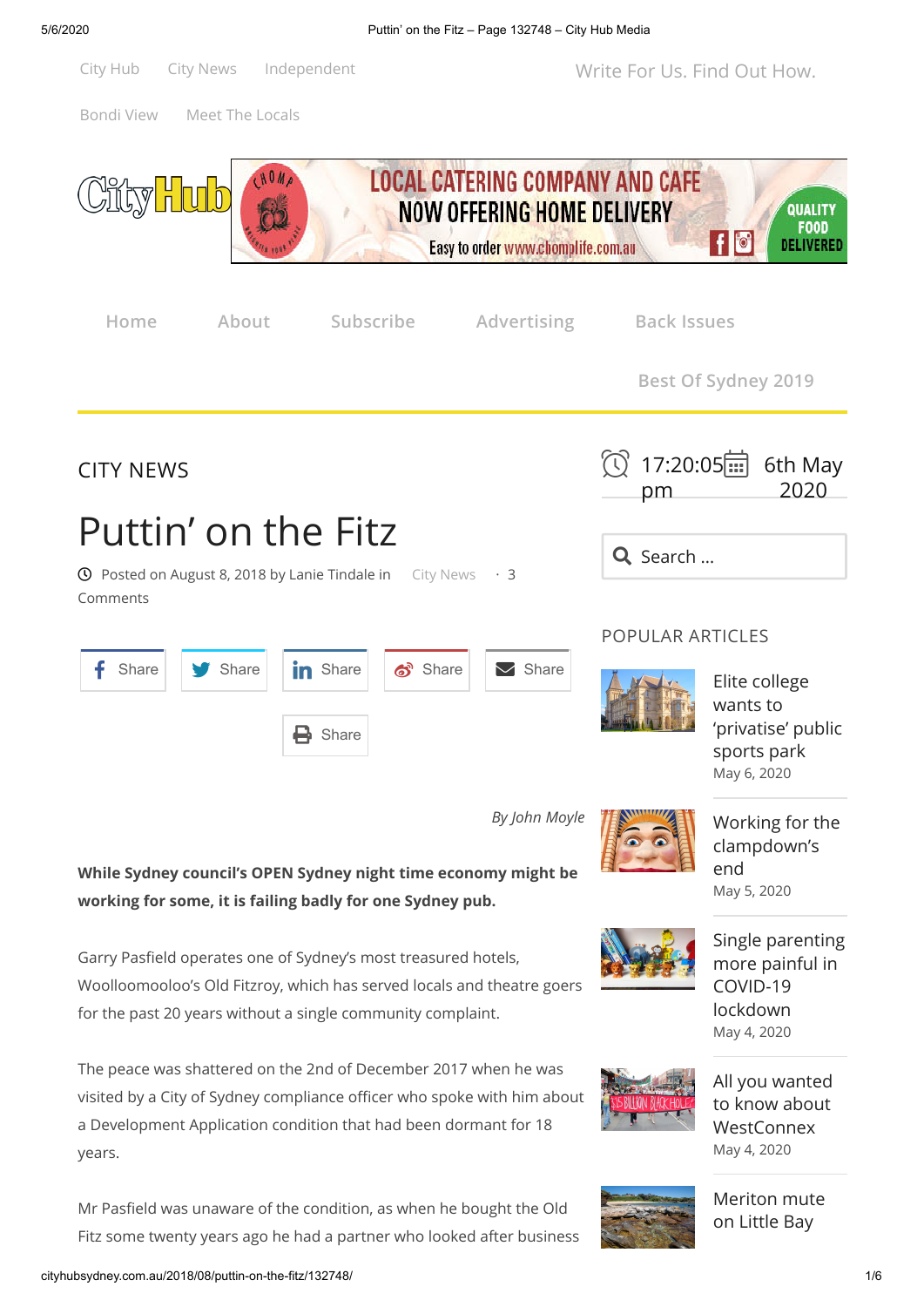

[May 4, 2020](http://cityhubsydney.com.au/2020/05/all-you-wanted-to-know-about-westconnex/)



[Meriton mute](http://cityhubsydney.com.au/2020/05/meriton-mute-on-little-bay-high-rise-scheme/) on Little Bay

Mr Pasfield was unaware of the condition, as when he bought the Old Fitz some twenty years ago he had a partner who looked after business

years.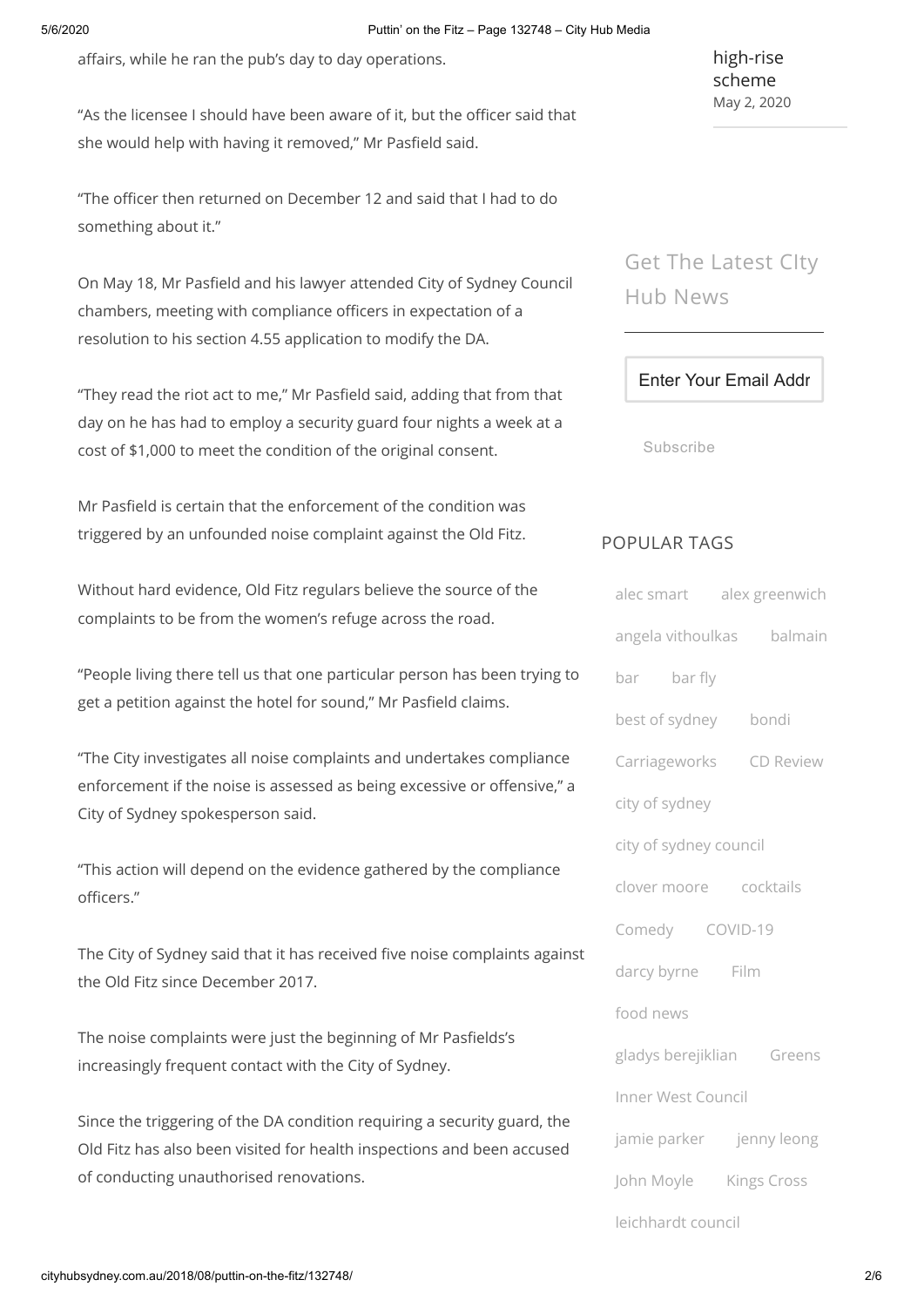affairs, while he ran the pub's day to day operations.

"As the licensee I should have been aware of it, but the officer said that she would help with having it removed," Mr Pasfield said.

"The officer then returned on December 12 and said that I had to do something about it."

On May 18, Mr Pasfield and his lawyer attended City of Sydney Council chambers, meeting with compliance officers in expectation of a resolution to his section 4.55 application to modify the DA.

"They read the riot act to me," Mr Pasfield said, adding that from that day on he has had to employ a security guard four nights a week at a cost of \$1,000 to meet the condition of the original consent.

Mr Pasfield is certain that the enforcement of the condition was triggered by an unfounded noise complaint against the Old Fitz.

Without hard evidence, Old Fitz regulars believe the source of the complaints to be from the women's refuge across the road.

"People living there tell us that one particular person has been trying to get a petition against the hotel for sound," Mr Pasfield claims.

"The City investigates all noise complaints and undertakes compliance enforcement if the noise is assessed as being excessive or offensive," a City of Sydney spokesperson said.

"This action will depend on the evidence gathered by the compliance officers."

The City of Sydney said that it has received five noise complaints against the Old Fitz since December 2017.

The noise complaints were just the beginning of Mr Pasfields's increasingly frequent contact with the City of Sydney.

Since the triggering of the DA condition requiring a security guard, the Old Fitz has also been visited for health inspections and been accused of conducting unauthorised renovations.

[high-rise](http://cityhubsydney.com.au/2020/05/meriton-mute-on-little-bay-high-rise-scheme/) scheme [May 2, 2020](http://cityhubsydney.com.au/2020/05/meriton-mute-on-little-bay-high-rise-scheme/)

Get The Latest CIty Hub News

Enter Your Email Addr

Subscribe

## POPULAR TAGS

| alec smart alex greenwich |  |  |
|---------------------------|--|--|
| angela vithoulkas balmain |  |  |
| bar bar fly               |  |  |
| best of sydney bondi      |  |  |
| Carriageworks CD Review   |  |  |
| city of sydney            |  |  |
| city of sydney council    |  |  |
| clover moore cocktails    |  |  |
| Comedy COVID-19           |  |  |
| darcy byrne Film          |  |  |
| food news                 |  |  |
| gladys berejiklian Greens |  |  |
| Inner West Council        |  |  |
| jamie parker jenny leong  |  |  |
| John Moyle Kings Cross    |  |  |
| leichhardt council        |  |  |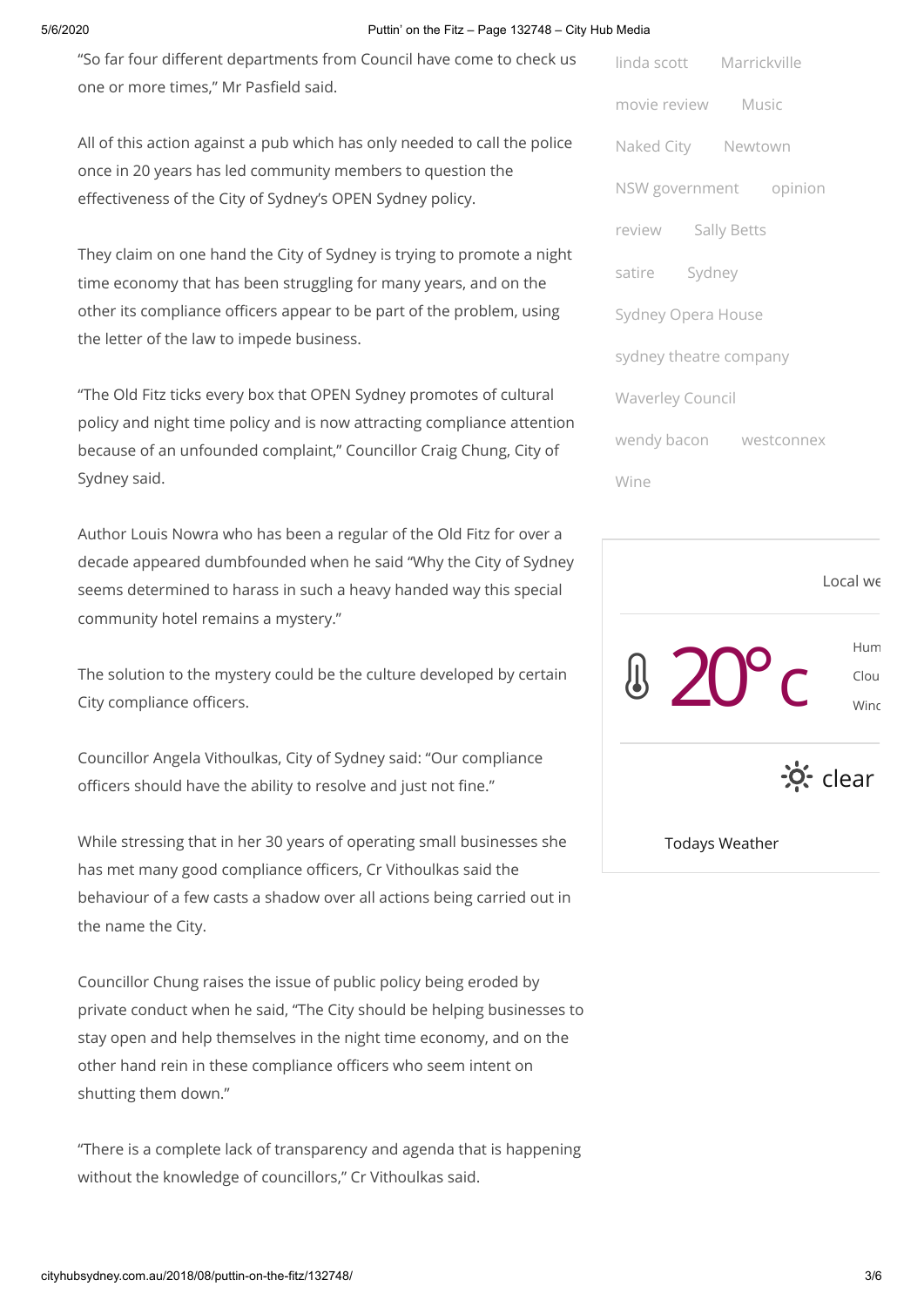## 5/6/2020 Puttin' on the Fitz – Page 132748 – City Hub Media

"So far four different departments from Council have come to check us one or more times," Mr Pasfield said.

All of this action against a pub which has only needed to call the police once in 20 years has led community members to question the effectiveness of the City of Sydney's OPEN Sydney policy.

They claim on one hand the City of Sydney is trying to promote a night time economy that has been struggling for many years, and on the other its compliance officers appear to be part of the problem, using the letter of the law to impede business.

"The Old Fitz ticks every box that OPEN Sydney promotes of cultural policy and night time policy and is now attracting compliance attention because of an unfounded complaint," Councillor Craig Chung, City of Sydney said.

Author Louis Nowra who has been a regular of the Old Fitz for over a decade appeared dumbfounded when he said "Why the City of Sydney seems determined to harass in such a heavy handed way this special community hotel remains a mystery."

The solution to the mystery could be the culture developed by certain City compliance officers.

Councillor Angela Vithoulkas, City of Sydney said: "Our compliance officers should have the ability to resolve and just not fine."

While stressing that in her 30 years of operating small businesses she has met many good compliance officers, Cr Vithoulkas said the behaviour of a few casts a shadow over all actions being carried out in the name the City.

Councillor Chung raises the issue of public policy being eroded by private conduct when he said, "The City should be helping businesses to stay open and help themselves in the night time economy, and on the other hand rein in these compliance officers who seem intent on shutting them down."

"There is a complete lack of transparency and agenda that is happening without the knowledge of councillors," Cr Vithoulkas said.

| linda scott Marrickville |  |  |
|--------------------------|--|--|
| movie review Music       |  |  |
| Naked City Newtown       |  |  |
| NSW government opinion   |  |  |
| review Sally Betts       |  |  |
| satire Sydney            |  |  |
| Sydney Opera House       |  |  |
| sydney theatre company   |  |  |
| <b>Waverley Council</b>  |  |  |
| wendy bacon westconnex   |  |  |
| Wine                     |  |  |



Todays Weather